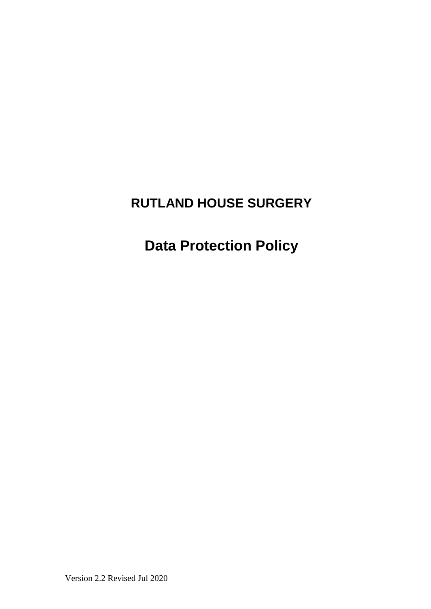# **RUTLAND HOUSE SURGERY**

**Data Protection Policy**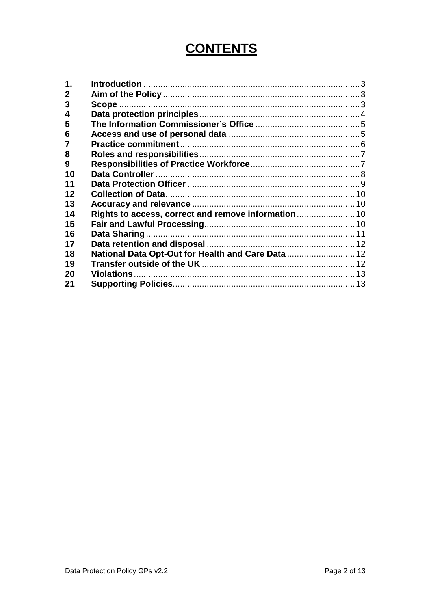# **CONTENTS**

| $\mathbf 1$  |                                                     |  |
|--------------|-----------------------------------------------------|--|
| $\mathbf{2}$ |                                                     |  |
| 3            |                                                     |  |
| 4            |                                                     |  |
| 5            |                                                     |  |
| 6            |                                                     |  |
|              |                                                     |  |
| 8            |                                                     |  |
| 9            |                                                     |  |
| 10           |                                                     |  |
| 11           |                                                     |  |
| 12           |                                                     |  |
| 13           |                                                     |  |
| 14           | Rights to access, correct and remove information 10 |  |
| 15           |                                                     |  |
| 16           |                                                     |  |
| 17           |                                                     |  |
| 18           | National Data Opt-Out for Health and Care Data  12  |  |
| 19           |                                                     |  |
| 20           |                                                     |  |
| 21           |                                                     |  |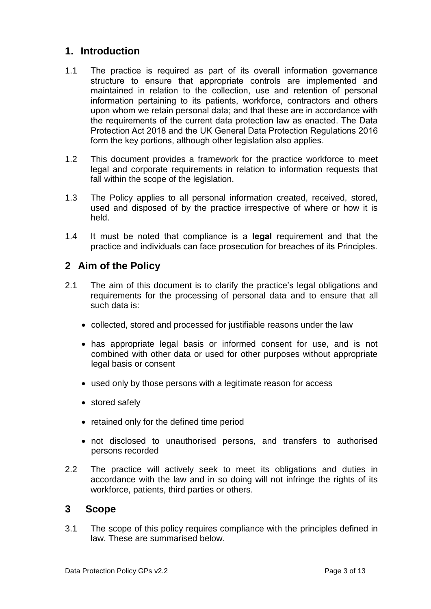### <span id="page-2-0"></span>**1. Introduction**

- 1.1 The practice is required as part of its overall information governance structure to ensure that appropriate controls are implemented and maintained in relation to the collection, use and retention of personal information pertaining to its patients, workforce, contractors and others upon whom we retain personal data; and that these are in accordance with the requirements of the current data protection law as enacted. The Data Protection Act 2018 and the UK General Data Protection Regulations 2016 form the key portions, although other legislation also applies.
- 1.2 This document provides a framework for the practice workforce to meet legal and corporate requirements in relation to information requests that fall within the scope of the legislation.
- 1.3 The Policy applies to all personal information created, received, stored, used and disposed of by the practice irrespective of where or how it is held.
- 1.4 It must be noted that compliance is a **legal** requirement and that the practice and individuals can face prosecution for breaches of its Principles.

## <span id="page-2-1"></span>**2 Aim of the Policy**

- 2.1 The aim of this document is to clarify the practice's legal obligations and requirements for the processing of personal data and to ensure that all such data is:
	- collected, stored and processed for justifiable reasons under the law
	- has appropriate legal basis or informed consent for use, and is not combined with other data or used for other purposes without appropriate legal basis or consent
	- used only by those persons with a legitimate reason for access
	- stored safely
	- retained only for the defined time period
	- not disclosed to unauthorised persons, and transfers to authorised persons recorded
- 2.2 The practice will actively seek to meet its obligations and duties in accordance with the law and in so doing will not infringe the rights of its workforce, patients, third parties or others.

#### <span id="page-2-2"></span>**3 Scope**

3.1 The scope of this policy requires compliance with the principles defined in law. These are summarised below.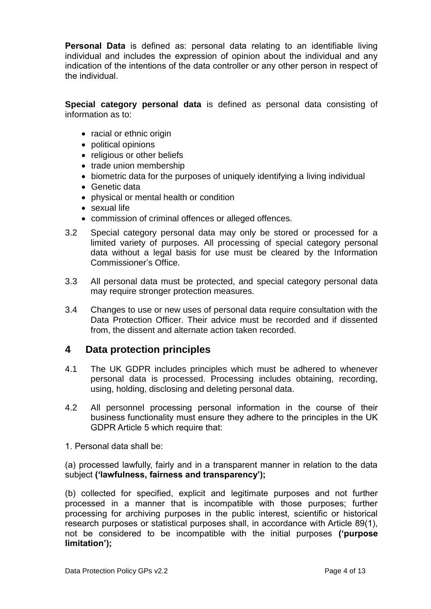**Personal Data** is defined as: personal data relating to an identifiable living individual and includes the expression of opinion about the individual and any indication of the intentions of the data controller or any other person in respect of the individual.

**Special category personal data** is defined as personal data consisting of information as to:

- racial or ethnic origin
- political opinions
- religious or other beliefs
- trade union membership
- biometric data for the purposes of uniquely identifying a living individual
- Genetic data
- physical or mental health or condition
- sexual life
- commission of criminal offences or alleged offences.
- 3.2 Special category personal data may only be stored or processed for a limited variety of purposes. All processing of special category personal data without a legal basis for use must be cleared by the Information Commissioner's Office.
- 3.3 All personal data must be protected, and special category personal data may require stronger protection measures.
- 3.4 Changes to use or new uses of personal data require consultation with the Data Protection Officer. Their advice must be recorded and if dissented from, the dissent and alternate action taken recorded.

### <span id="page-3-0"></span>**4 Data protection principles**

- 4.1 The UK GDPR includes principles which must be adhered to whenever personal data is processed. Processing includes obtaining, recording, using, holding, disclosing and deleting personal data.
- 4.2 All personnel processing personal information in the course of their business functionality must ensure they adhere to the principles in the UK GDPR Article 5 which require that:
- 1. Personal data shall be:

(a) processed lawfully, fairly and in a transparent manner in relation to the data subject **('lawfulness, fairness and transparency');** 

(b) collected for specified, explicit and legitimate purposes and not further processed in a manner that is incompatible with those purposes; further processing for archiving purposes in the public interest, scientific or historical research purposes or statistical purposes shall, in accordance with Article 89(1), not be considered to be incompatible with the initial purposes **('purpose limitation');**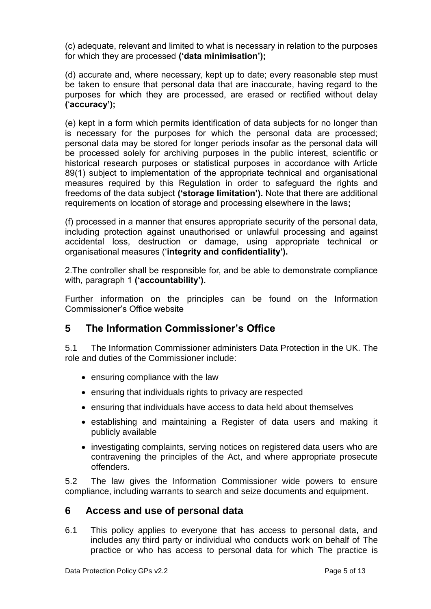(c) adequate, relevant and limited to what is necessary in relation to the purposes for which they are processed **('data minimisation');** 

(d) accurate and, where necessary, kept up to date; every reasonable step must be taken to ensure that personal data that are inaccurate, having regard to the purposes for which they are processed, are erased or rectified without delay **(**'**accuracy');** 

(e) kept in a form which permits identification of data subjects for no longer than is necessary for the purposes for which the personal data are processed; personal data may be stored for longer periods insofar as the personal data will be processed solely for archiving purposes in the public interest, scientific or historical research purposes or statistical purposes in accordance with Article 89(1) subject to implementation of the appropriate technical and organisational measures required by this Regulation in order to safeguard the rights and freedoms of the data subject **('storage limitation').** Note that there are additional requirements on location of storage and processing elsewhere in the laws**;** 

(f) processed in a manner that ensures appropriate security of the personal data, including protection against unauthorised or unlawful processing and against accidental loss, destruction or damage, using appropriate technical or organisational measures ('**integrity and confidentiality').** 

2.The controller shall be responsible for, and be able to demonstrate compliance with, paragraph 1 **('accountability').**

Further information on the principles can be found on the Information Commissioner's Office website

### <span id="page-4-0"></span>**5 The Information Commissioner's Office**

5.1 The Information Commissioner administers Data Protection in the UK. The role and duties of the Commissioner include:

- ensuring compliance with the law
- ensuring that individuals rights to privacy are respected
- ensuring that individuals have access to data held about themselves
- establishing and maintaining a Register of data users and making it publicly available
- investigating complaints, serving notices on registered data users who are contravening the principles of the Act, and where appropriate prosecute offenders.

5.2 The law gives the Information Commissioner wide powers to ensure compliance, including warrants to search and seize documents and equipment.

#### <span id="page-4-1"></span>**6 Access and use of personal data**

6.1 This policy applies to everyone that has access to personal data, and includes any third party or individual who conducts work on behalf of The practice or who has access to personal data for which The practice is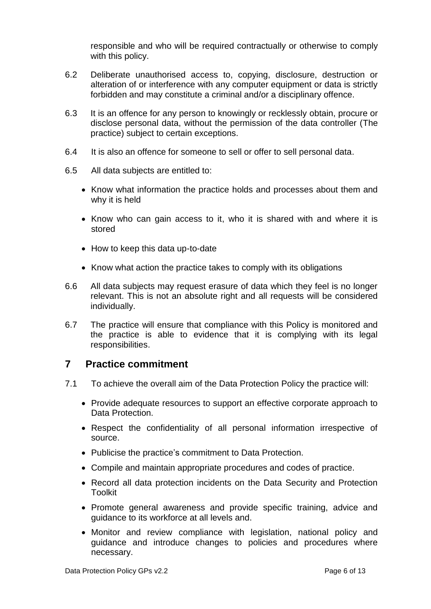responsible and who will be required contractually or otherwise to comply with this policy.

- 6.2 Deliberate unauthorised access to, copying, disclosure, destruction or alteration of or interference with any computer equipment or data is strictly forbidden and may constitute a criminal and/or a disciplinary offence.
- 6.3 It is an offence for any person to knowingly or recklessly obtain, procure or disclose personal data, without the permission of the data controller (The practice) subject to certain exceptions.
- 6.4 It is also an offence for someone to sell or offer to sell personal data.
- 6.5 All data subjects are entitled to:
	- Know what information the practice holds and processes about them and why it is held
	- Know who can gain access to it, who it is shared with and where it is stored
	- How to keep this data up-to-date
	- Know what action the practice takes to comply with its obligations
- 6.6 All data subjects may request erasure of data which they feel is no longer relevant. This is not an absolute right and all requests will be considered individually.
- 6.7 The practice will ensure that compliance with this Policy is monitored and the practice is able to evidence that it is complying with its legal responsibilities.

#### <span id="page-5-0"></span>**7 Practice commitment**

- 7.1 To achieve the overall aim of the Data Protection Policy the practice will:
	- Provide adequate resources to support an effective corporate approach to Data Protection.
	- Respect the confidentiality of all personal information irrespective of source.
	- Publicise the practice's commitment to Data Protection.
	- Compile and maintain appropriate procedures and codes of practice.
	- Record all data protection incidents on the Data Security and Protection **Toolkit**
	- Promote general awareness and provide specific training, advice and guidance to its workforce at all levels and.
	- Monitor and review compliance with legislation, national policy and guidance and introduce changes to policies and procedures where necessary.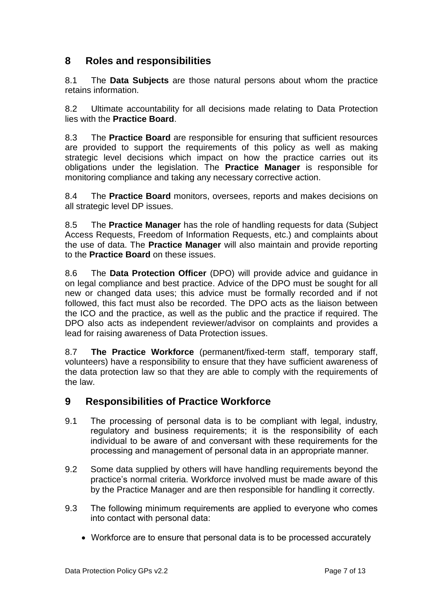# <span id="page-6-0"></span>**8 Roles and responsibilities**

8.1 The **Data Subjects** are those natural persons about whom the practice retains information.

8.2 Ultimate accountability for all decisions made relating to Data Protection lies with the **Practice Board**.

8.3 The **Practice Board** are responsible for ensuring that sufficient resources are provided to support the requirements of this policy as well as making strategic level decisions which impact on how the practice carries out its obligations under the legislation. The **Practice Manager** is responsible for monitoring compliance and taking any necessary corrective action.

8.4 The **Practice Board** monitors, oversees, reports and makes decisions on all strategic level DP issues.

8.5 The **Practice Manager** has the role of handling requests for data (Subject Access Requests, Freedom of Information Requests, etc.) and complaints about the use of data. The **Practice Manager** will also maintain and provide reporting to the **Practice Board** on these issues.

8.6 The **Data Protection Officer** (DPO) will provide advice and guidance in on legal compliance and best practice. Advice of the DPO must be sought for all new or changed data uses; this advice must be formally recorded and if not followed, this fact must also be recorded. The DPO acts as the liaison between the ICO and the practice, as well as the public and the practice if required. The DPO also acts as independent reviewer/advisor on complaints and provides a lead for raising awareness of Data Protection issues.

8.7 **The Practice Workforce** (permanent/fixed-term staff, temporary staff, volunteers) have a responsibility to ensure that they have sufficient awareness of the data protection law so that they are able to comply with the requirements of the law.

# <span id="page-6-1"></span>**9 Responsibilities of Practice Workforce**

- 9.1 The processing of personal data is to be compliant with legal, industry, regulatory and business requirements; it is the responsibility of each individual to be aware of and conversant with these requirements for the processing and management of personal data in an appropriate manner.
- 9.2 Some data supplied by others will have handling requirements beyond the practice's normal criteria. Workforce involved must be made aware of this by the Practice Manager and are then responsible for handling it correctly.
- 9.3 The following minimum requirements are applied to everyone who comes into contact with personal data:
	- Workforce are to ensure that personal data is to be processed accurately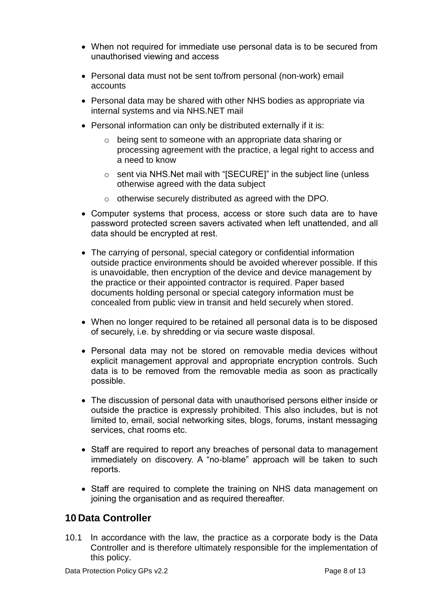- When not required for immediate use personal data is to be secured from unauthorised viewing and access
- Personal data must not be sent to/from personal (non-work) email accounts
- Personal data may be shared with other NHS bodies as appropriate via internal systems and via NHS.NET mail
- Personal information can only be distributed externally if it is:
	- o being sent to someone with an appropriate data sharing or processing agreement with the practice, a legal right to access and a need to know
	- o sent via NHS.Net mail with "[SECURE]" in the subject line (unless otherwise agreed with the data subject
	- o otherwise securely distributed as agreed with the DPO.
- Computer systems that process, access or store such data are to have password protected screen savers activated when left unattended, and all data should be encrypted at rest.
- The carrying of personal, special category or confidential information outside practice environments should be avoided wherever possible. If this is unavoidable, then encryption of the device and device management by the practice or their appointed contractor is required. Paper based documents holding personal or special category information must be concealed from public view in transit and held securely when stored.
- When no longer required to be retained all personal data is to be disposed of securely, i.e. by shredding or via secure waste disposal.
- Personal data may not be stored on removable media devices without explicit management approval and appropriate encryption controls. Such data is to be removed from the removable media as soon as practically possible.
- The discussion of personal data with unauthorised persons either inside or outside the practice is expressly prohibited. This also includes, but is not limited to, email, social networking sites, blogs, forums, instant messaging services, chat rooms etc.
- Staff are required to report any breaches of personal data to management immediately on discovery. A "no-blame" approach will be taken to such reports.
- Staff are required to complete the training on NHS data management on joining the organisation and as required thereafter.

# <span id="page-7-0"></span>**10 Data Controller**

10.1 In accordance with the law, the practice as a corporate body is the Data Controller and is therefore ultimately responsible for the implementation of this policy.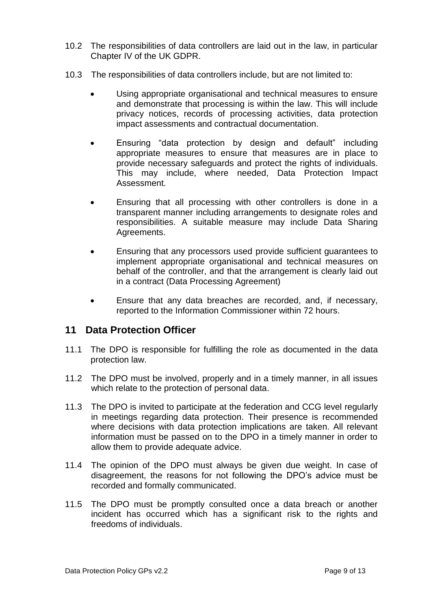- 10.2 The responsibilities of data controllers are laid out in the law, in particular Chapter IV of the UK GDPR.
- 10.3 The responsibilities of data controllers include, but are not limited to:
	- Using appropriate organisational and technical measures to ensure and demonstrate that processing is within the law. This will include privacy notices, records of processing activities, data protection impact assessments and contractual documentation.
	- Ensuring "data protection by design and default" including appropriate measures to ensure that measures are in place to provide necessary safeguards and protect the rights of individuals. This may include, where needed, Data Protection Impact Assessment.
	- Ensuring that all processing with other controllers is done in a transparent manner including arrangements to designate roles and responsibilities. A suitable measure may include Data Sharing Agreements.
	- Ensuring that any processors used provide sufficient guarantees to implement appropriate organisational and technical measures on behalf of the controller, and that the arrangement is clearly laid out in a contract (Data Processing Agreement)
	- Ensure that any data breaches are recorded, and, if necessary, reported to the Information Commissioner within 72 hours.

### <span id="page-8-0"></span>**11 Data Protection Officer**

- 11.1 The DPO is responsible for fulfilling the role as documented in the data protection law.
- 11.2 The DPO must be involved, properly and in a timely manner, in all issues which relate to the protection of personal data.
- 11.3 The DPO is invited to participate at the federation and CCG level regularly in meetings regarding data protection. Their presence is recommended where decisions with data protection implications are taken. All relevant information must be passed on to the DPO in a timely manner in order to allow them to provide adequate advice.
- 11.4 The opinion of the DPO must always be given due weight. In case of disagreement, the reasons for not following the DPO's advice must be recorded and formally communicated.
- 11.5 The DPO must be promptly consulted once a data breach or another incident has occurred which has a significant risk to the rights and freedoms of individuals.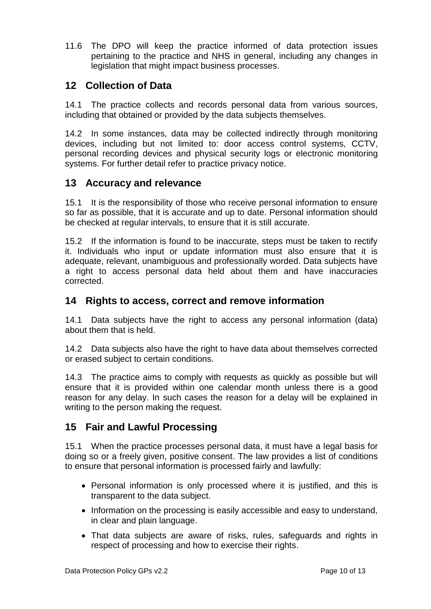11.6 The DPO will keep the practice informed of data protection issues pertaining to the practice and NHS in general, including any changes in legislation that might impact business processes.

# <span id="page-9-0"></span>**12 Collection of Data**

14.1 The practice collects and records personal data from various sources, including that obtained or provided by the data subjects themselves.

14.2 In some instances, data may be collected indirectly through monitoring devices, including but not limited to: door access control systems, CCTV, personal recording devices and physical security logs or electronic monitoring systems. For further detail refer to practice privacy notice.

### <span id="page-9-1"></span>**13 Accuracy and relevance**

15.1 It is the responsibility of those who receive personal information to ensure so far as possible, that it is accurate and up to date. Personal information should be checked at regular intervals, to ensure that it is still accurate.

15.2 If the information is found to be inaccurate, steps must be taken to rectify it. Individuals who input or update information must also ensure that it is adequate, relevant, unambiguous and professionally worded. Data subjects have a right to access personal data held about them and have inaccuracies corrected.

## <span id="page-9-2"></span>**14 Rights to access, correct and remove information**

14.1 Data subjects have the right to access any personal information (data) about them that is held.

14.2 Data subjects also have the right to have data about themselves corrected or erased subject to certain conditions.

14.3 The practice aims to comply with requests as quickly as possible but will ensure that it is provided within one calendar month unless there is a good reason for any delay. In such cases the reason for a delay will be explained in writing to the person making the request.

# <span id="page-9-3"></span>**15 Fair and Lawful Processing**

15.1 When the practice processes personal data, it must have a legal basis for doing so or a freely given, positive consent. The law provides a list of conditions to ensure that personal information is processed fairly and lawfully:

- Personal information is only processed where it is justified, and this is transparent to the data subject.
- Information on the processing is easily accessible and easy to understand, in clear and plain language.
- That data subjects are aware of risks, rules, safeguards and rights in respect of processing and how to exercise their rights.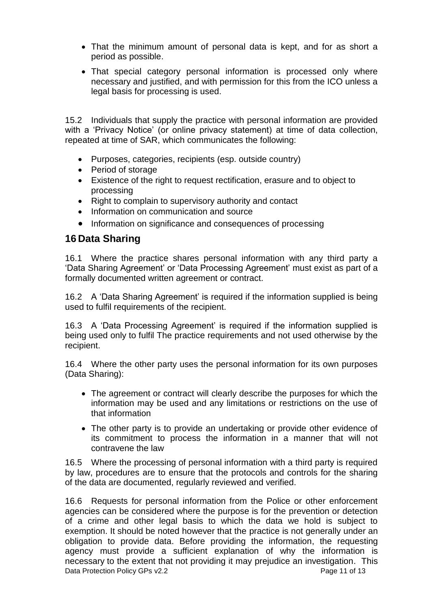- That the minimum amount of personal data is kept, and for as short a period as possible.
- That special category personal information is processed only where necessary and justified, and with permission for this from the ICO unless a legal basis for processing is used.

15.2 Individuals that supply the practice with personal information are provided with a 'Privacy Notice' (or online privacy statement) at time of data collection, repeated at time of SAR, which communicates the following:

- Purposes, categories, recipients (esp. outside country)
- Period of storage
- Existence of the right to request rectification, erasure and to object to processing
- Right to complain to supervisory authority and contact
- Information on communication and source
- Information on significance and consequences of processing

#### <span id="page-10-0"></span>**16 Data Sharing**

16.1 Where the practice shares personal information with any third party a 'Data Sharing Agreement' or 'Data Processing Agreement' must exist as part of a formally documented written agreement or contract.

16.2 A 'Data Sharing Agreement' is required if the information supplied is being used to fulfil requirements of the recipient.

16.3 A 'Data Processing Agreement' is required if the information supplied is being used only to fulfil The practice requirements and not used otherwise by the recipient.

16.4 Where the other party uses the personal information for its own purposes (Data Sharing):

- The agreement or contract will clearly describe the purposes for which the information may be used and any limitations or restrictions on the use of that information
- The other party is to provide an undertaking or provide other evidence of its commitment to process the information in a manner that will not contravene the law

16.5 Where the processing of personal information with a third party is required by law, procedures are to ensure that the protocols and controls for the sharing of the data are documented, regularly reviewed and verified.

Data Protection Policy GPs v2.2 Page 11 of 13 16.6 Requests for personal information from the Police or other enforcement agencies can be considered where the purpose is for the prevention or detection of a crime and other legal basis to which the data we hold is subject to exemption. It should be noted however that the practice is not generally under an obligation to provide data. Before providing the information, the requesting agency must provide a sufficient explanation of why the information is necessary to the extent that not providing it may prejudice an investigation. This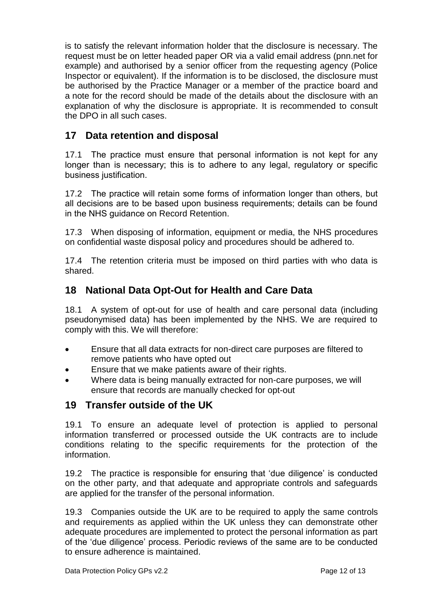is to satisfy the relevant information holder that the disclosure is necessary. The request must be on letter headed paper OR via a valid email address (pnn.net for example) and authorised by a senior officer from the requesting agency (Police Inspector or equivalent). If the information is to be disclosed, the disclosure must be authorised by the Practice Manager or a member of the practice board and a note for the record should be made of the details about the disclosure with an explanation of why the disclosure is appropriate. It is recommended to consult the DPO in all such cases.

# <span id="page-11-0"></span>**17 Data retention and disposal**

17.1 The practice must ensure that personal information is not kept for any longer than is necessary; this is to adhere to any legal, regulatory or specific business justification.

17.2 The practice will retain some forms of information longer than others, but all decisions are to be based upon business requirements; details can be found in the NHS guidance on Record Retention.

17.3 When disposing of information, equipment or media, the NHS procedures on confidential waste disposal policy and procedures should be adhered to.

17.4 The retention criteria must be imposed on third parties with who data is shared.

# <span id="page-11-1"></span>**18 National Data Opt-Out for Health and Care Data**

18.1 A system of opt-out for use of health and care personal data (including pseudonymised data) has been implemented by the NHS. We are required to comply with this. We will therefore:

- Ensure that all data extracts for non-direct care purposes are filtered to remove patients who have opted out
- Ensure that we make patients aware of their rights.
- Where data is being manually extracted for non-care purposes, we will ensure that records are manually checked for opt-out

### <span id="page-11-2"></span>**19 Transfer outside of the UK**

19.1 To ensure an adequate level of protection is applied to personal information transferred or processed outside the UK contracts are to include conditions relating to the specific requirements for the protection of the information.

19.2 The practice is responsible for ensuring that 'due diligence' is conducted on the other party, and that adequate and appropriate controls and safeguards are applied for the transfer of the personal information.

19.3 Companies outside the UK are to be required to apply the same controls and requirements as applied within the UK unless they can demonstrate other adequate procedures are implemented to protect the personal information as part of the 'due diligence' process. Periodic reviews of the same are to be conducted to ensure adherence is maintained.